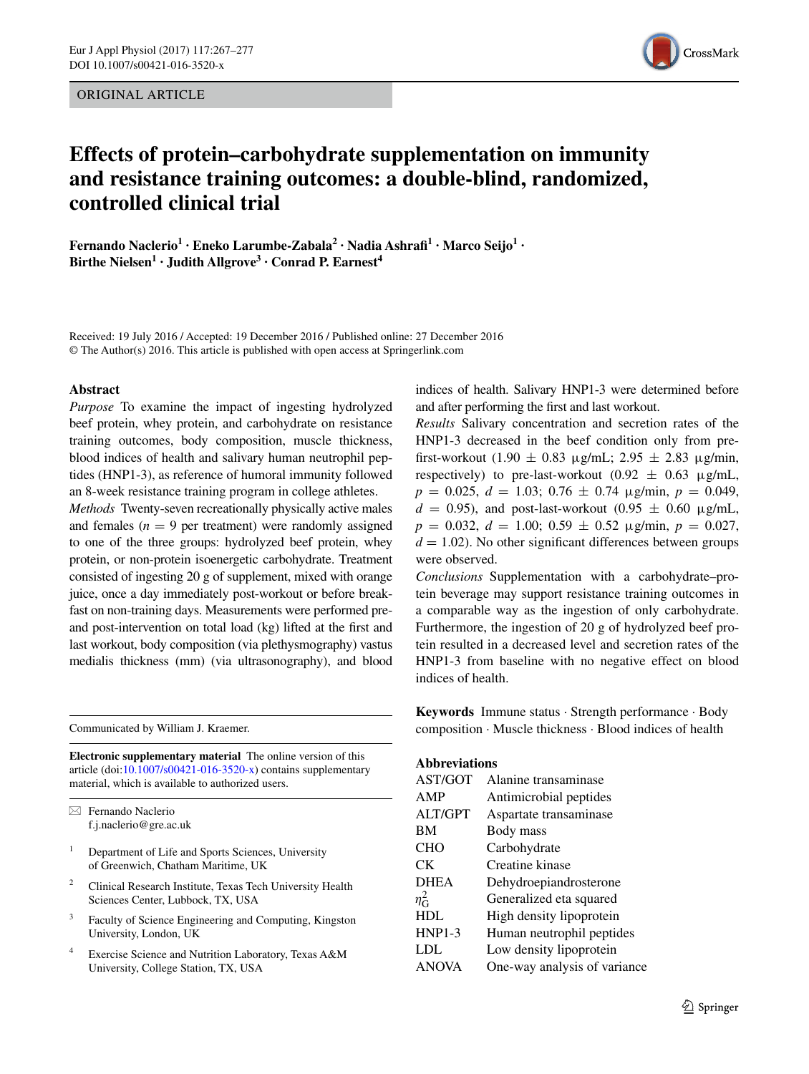ORIGINAL ARTICLE



# **Effects of protein–carbohydrate supplementation on immunity and resistance training outcomes: a double‑blind, randomized, controlled clinical trial**

**Fernando Naclerio1 · Eneko Larumbe‑Zabala2 · Nadia Ashrafi1 · Marco Seijo1 · Birthe Nielsen<sup>1</sup> • Judith Allgrove<sup>3</sup> • Conrad P. Earnest<sup>4</sup>** 

Received: 19 July 2016 / Accepted: 19 December 2016 / Published online: 27 December 2016 © The Author(s) 2016. This article is published with open access at Springerlink.com

#### **Abstract**

*Purpose* To examine the impact of ingesting hydrolyzed beef protein, whey protein, and carbohydrate on resistance training outcomes, body composition, muscle thickness, blood indices of health and salivary human neutrophil peptides (HNP1-3), as reference of humoral immunity followed an 8-week resistance training program in college athletes.

*Methods* Twenty-seven recreationally physically active males and females  $(n = 9$  per treatment) were randomly assigned to one of the three groups: hydrolyzed beef protein, whey protein, or non-protein isoenergetic carbohydrate. Treatment consisted of ingesting 20 g of supplement, mixed with orange juice, once a day immediately post-workout or before breakfast on non-training days. Measurements were performed preand post-intervention on total load (kg) lifted at the first and last workout, body composition (via plethysmography) vastus medialis thickness (mm) (via ultrasonography), and blood

Communicated by William J. Kraemer.

**Electronic supplementary material** The online version of this article (doi[:10.1007/s00421-016-3520-x](http://dx.doi.org/10.1007/s00421-016-3520-x)) contains supplementary material, which is available to authorized users.

 $\boxtimes$  Fernando Naclerio f.j.naclerio@gre.ac.uk

- <sup>1</sup> Department of Life and Sports Sciences, University of Greenwich, Chatham Maritime, UK
- <sup>2</sup> Clinical Research Institute, Texas Tech University Health Sciences Center, Lubbock, TX, USA
- <sup>3</sup> Faculty of Science Engineering and Computing, Kingston University, London, UK
- <sup>4</sup> Exercise Science and Nutrition Laboratory, Texas A&M University, College Station, TX, USA

indices of health. Salivary HNP1-3 were determined before and after performing the first and last workout.

*Results* Salivary concentration and secretion rates of the HNP1-3 decreased in the beef condition only from prefirst-workout (1.90  $\pm$  0.83 μg/mL; 2.95  $\pm$  2.83 μg/min, respectively) to pre-last-workout  $(0.92 \pm 0.63 \mu g/mL)$ ,  $p = 0.025, d = 1.03; 0.76 \pm 0.74$   $\mu$ g/min,  $p = 0.049$ ,  $d = 0.95$ ), and post-last-workout  $(0.95 \pm 0.60 \text{ µg/mL})$ ,  $p = 0.032, d = 1.00; 0.59 \pm 0.52 \text{ µg/min}, p = 0.027,$  $d = 1.02$ ). No other significant differences between groups were observed.

*Conclusions* Supplementation with a carbohydrate–protein beverage may support resistance training outcomes in a comparable way as the ingestion of only carbohydrate. Furthermore, the ingestion of 20 g of hydrolyzed beef protein resulted in a decreased level and secretion rates of the HNP1-3 from baseline with no negative effect on blood indices of health.

**Keywords** Immune status · Strength performance · Body composition · Muscle thickness · Blood indices of health

# **Abbreviations**

| AST/GOT          | Alanine transaminase         |
|------------------|------------------------------|
| AMP              | Antimicrobial peptides       |
| <b>ALT/GPT</b>   | Aspartate transaminase       |
| BM               | Body mass                    |
| <b>CHO</b>       | Carbohydrate                 |
| <b>CK</b>        | Creatine kinase              |
| <b>DHEA</b>      | Dehydroepiandrosterone       |
| $\eta_{\rm G}^2$ | Generalized eta squared      |
| <b>HDL</b>       | High density lipoprotein     |
| $HNP1-3$         | Human neutrophil peptides    |
| <b>LDL</b>       | Low density lipoprotein      |
| <b>ANOVA</b>     | One-way analysis of variance |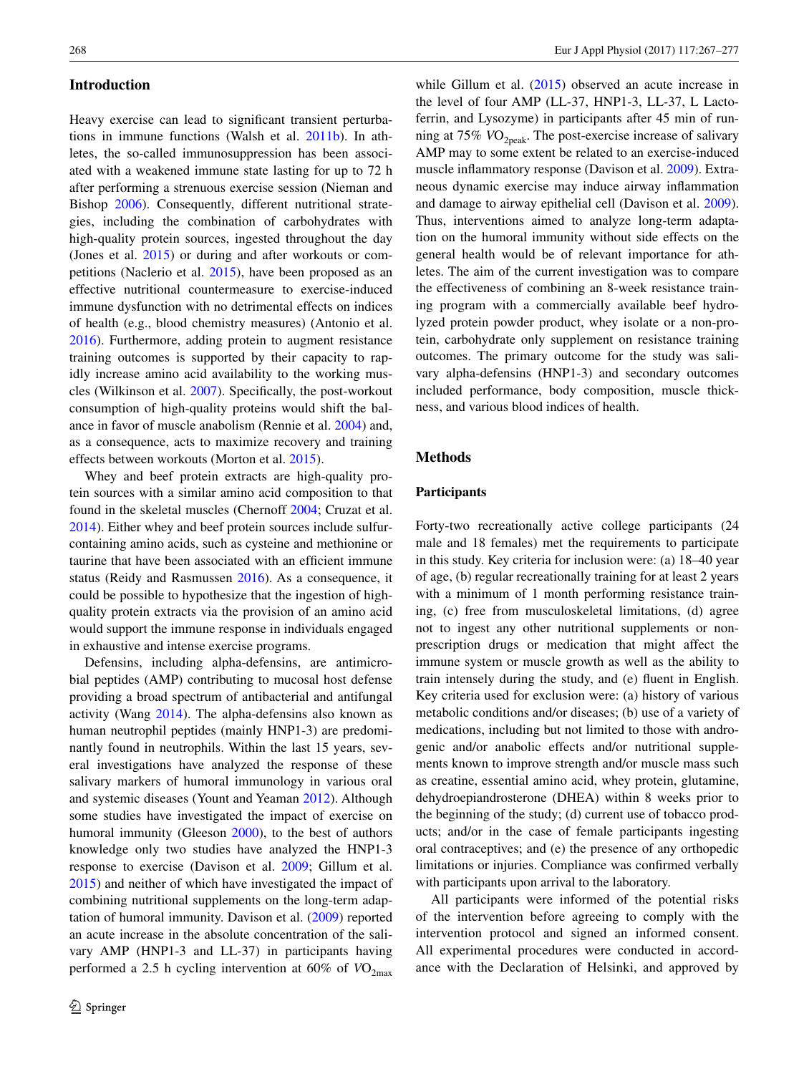## **Introduction**

Heavy exercise can lead to significant transient perturbations in immune functions (Walsh et al. [2011b](#page-10-0)). In athletes, the so-called immunosuppression has been associated with a weakened immune state lasting for up to 72 h after performing a strenuous exercise session (Nieman and Bishop [2006\)](#page-10-1). Consequently, different nutritional strategies, including the combination of carbohydrates with high-quality protein sources, ingested throughout the day (Jones et al. [2015](#page-9-0)) or during and after workouts or competitions (Naclerio et al. [2015](#page-10-2)), have been proposed as an effective nutritional countermeasure to exercise-induced immune dysfunction with no detrimental effects on indices of health (e.g., blood chemistry measures) (Antonio et al. [2016](#page-9-1)). Furthermore, adding protein to augment resistance training outcomes is supported by their capacity to rapidly increase amino acid availability to the working muscles (Wilkinson et al. [2007\)](#page-10-3). Specifically, the post-workout consumption of high-quality proteins would shift the balance in favor of muscle anabolism (Rennie et al. [2004](#page-10-4)) and, as a consequence, acts to maximize recovery and training effects between workouts (Morton et al. [2015](#page-10-5)).

Whey and beef protein extracts are high-quality protein sources with a similar amino acid composition to that found in the skeletal muscles (Chernoff [2004;](#page-9-2) Cruzat et al. [2014](#page-9-3)). Either whey and beef protein sources include sulfurcontaining amino acids, such as cysteine and methionine or taurine that have been associated with an efficient immune status (Reidy and Rasmussen [2016\)](#page-10-6). As a consequence, it could be possible to hypothesize that the ingestion of highquality protein extracts via the provision of an amino acid would support the immune response in individuals engaged in exhaustive and intense exercise programs.

Defensins, including alpha-defensins, are antimicrobial peptides (AMP) contributing to mucosal host defense providing a broad spectrum of antibacterial and antifungal activity (Wang [2014\)](#page-10-7). The alpha-defensins also known as human neutrophil peptides (mainly HNP1-3) are predominantly found in neutrophils. Within the last 15 years, several investigations have analyzed the response of these salivary markers of humoral immunology in various oral and systemic diseases (Yount and Yeaman [2012](#page-10-8)). Although some studies have investigated the impact of exercise on humoral immunity (Gleeson [2000\)](#page-9-4), to the best of authors knowledge only two studies have analyzed the HNP1-3 response to exercise (Davison et al. [2009](#page-9-5); Gillum et al. [2015](#page-9-6)) and neither of which have investigated the impact of combining nutritional supplements on the long-term adaptation of humoral immunity. Davison et al. ([2009\)](#page-9-5) reported an acute increase in the absolute concentration of the salivary AMP (HNP1-3 and LL-37) in participants having performed a 2.5 h cycling intervention at  $60\%$  of  $VO_{2\text{max}}$ 

while Gillum et al. [\(2015](#page-9-6)) observed an acute increase in the level of four AMP (LL-37, HNP1-3, LL-37, L Lactoferrin, and Lysozyme) in participants after 45 min of running at 75%  $VO<sub>2peak</sub>$ . The post-exercise increase of salivary AMP may to some extent be related to an exercise-induced muscle inflammatory response (Davison et al. [2009](#page-9-5)). Extraneous dynamic exercise may induce airway inflammation and damage to airway epithelial cell (Davison et al. [2009](#page-9-5)). Thus, interventions aimed to analyze long-term adaptation on the humoral immunity without side effects on the general health would be of relevant importance for athletes. The aim of the current investigation was to compare the effectiveness of combining an 8-week resistance training program with a commercially available beef hydrolyzed protein powder product, whey isolate or a non-protein, carbohydrate only supplement on resistance training outcomes. The primary outcome for the study was salivary alpha-defensins (HNP1-3) and secondary outcomes included performance, body composition, muscle thickness, and various blood indices of health.

## **Methods**

#### **Participants**

Forty-two recreationally active college participants (24 male and 18 females) met the requirements to participate in this study. Key criteria for inclusion were: (a) 18–40 year of age, (b) regular recreationally training for at least 2 years with a minimum of 1 month performing resistance training, (c) free from musculoskeletal limitations, (d) agree not to ingest any other nutritional supplements or nonprescription drugs or medication that might affect the immune system or muscle growth as well as the ability to train intensely during the study, and (e) fluent in English. Key criteria used for exclusion were: (a) history of various metabolic conditions and/or diseases; (b) use of a variety of medications, including but not limited to those with androgenic and/or anabolic effects and/or nutritional supplements known to improve strength and/or muscle mass such as creatine, essential amino acid, whey protein, glutamine, dehydroepiandrosterone (DHEA) within 8 weeks prior to the beginning of the study; (d) current use of tobacco products; and/or in the case of female participants ingesting oral contraceptives; and (e) the presence of any orthopedic limitations or injuries. Compliance was confirmed verbally with participants upon arrival to the laboratory.

All participants were informed of the potential risks of the intervention before agreeing to comply with the intervention protocol and signed an informed consent. All experimental procedures were conducted in accordance with the Declaration of Helsinki, and approved by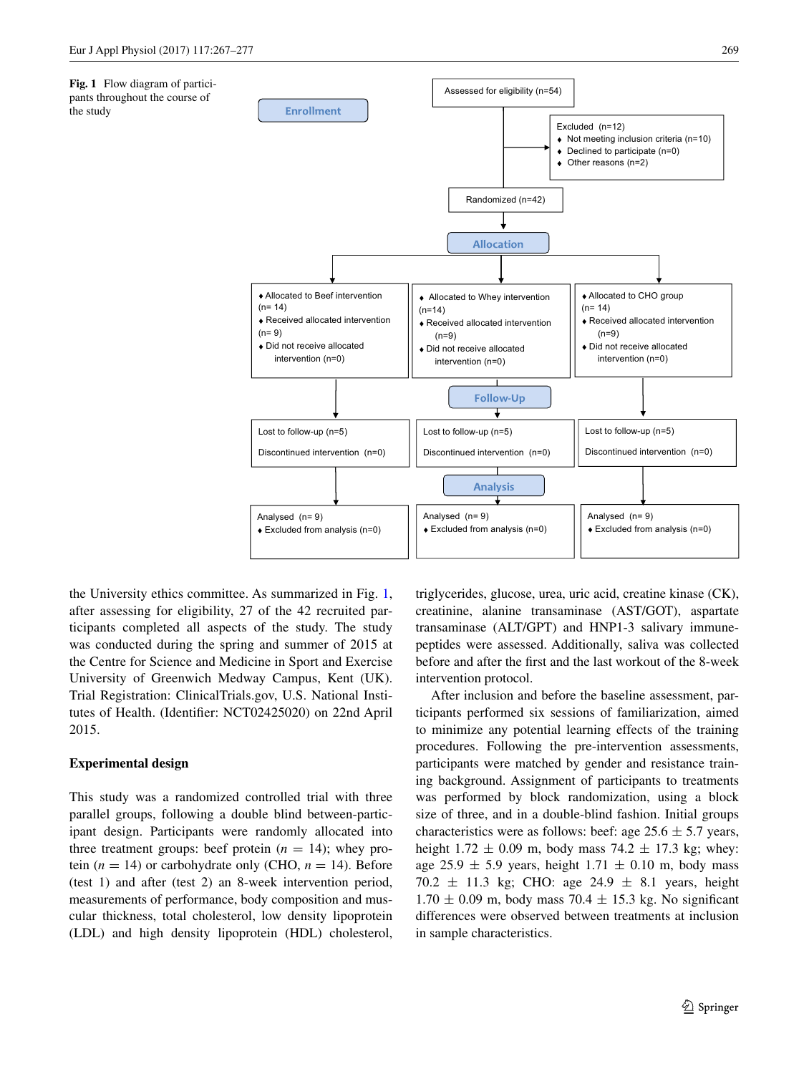<span id="page-2-0"></span>**Fig. 1** Flow diagram of participants throughout the course of

the study



the University ethics committee. As summarized in Fig. [1,](#page-2-0) after assessing for eligibility, 27 of the 42 recruited participants completed all aspects of the study. The study was conducted during the spring and summer of 2015 at the Centre for Science and Medicine in Sport and Exercise University of Greenwich Medway Campus, Kent (UK). Trial Registration: ClinicalTrials.gov, U.S. National Institutes of Health. (Identifier: NCT02425020) on 22nd April 2015.

## **Experimental design**

This study was a randomized controlled trial with three parallel groups, following a double blind between-participant design. Participants were randomly allocated into three treatment groups: beef protein  $(n = 14)$ ; whey protein  $(n = 14)$  or carbohydrate only (CHO,  $n = 14$ ). Before (test 1) and after (test 2) an 8-week intervention period, measurements of performance, body composition and muscular thickness, total cholesterol, low density lipoprotein (LDL) and high density lipoprotein (HDL) cholesterol,

triglycerides, glucose, urea, uric acid, creatine kinase (CK), creatinine, alanine transaminase (AST/GOT), aspartate transaminase (ALT/GPT) and HNP1-3 salivary immunepeptides were assessed. Additionally, saliva was collected before and after the first and the last workout of the 8-week intervention protocol.

After inclusion and before the baseline assessment, participants performed six sessions of familiarization, aimed to minimize any potential learning effects of the training procedures. Following the pre-intervention assessments, participants were matched by gender and resistance training background. Assignment of participants to treatments was performed by block randomization, using a block size of three, and in a double-blind fashion. Initial groups characteristics were as follows: beef: age  $25.6 \pm 5.7$  years, height  $1.72 \pm 0.09$  m, body mass  $74.2 \pm 17.3$  kg; whey: age 25.9  $\pm$  5.9 years, height 1.71  $\pm$  0.10 m, body mass 70.2  $\pm$  11.3 kg; CHO: age 24.9  $\pm$  8.1 years, height  $1.70 \pm 0.09$  m, body mass 70.4  $\pm$  15.3 kg. No significant differences were observed between treatments at inclusion in sample characteristics.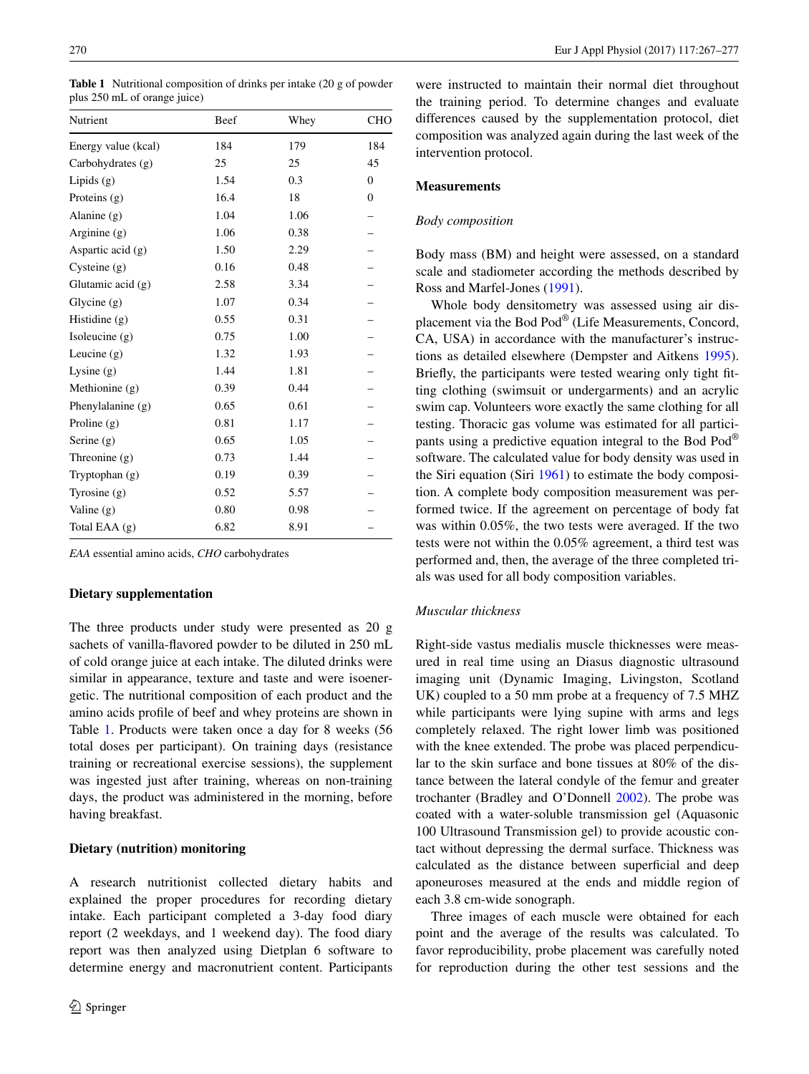<span id="page-3-0"></span>**Table 1** Nutritional composition of drinks per intake (20 g of powder plus 250 mL of orange juice)

| Nutrient            | Beef | Whey | <b>CHO</b>       |
|---------------------|------|------|------------------|
| Energy value (kcal) | 184  | 179  | 184              |
| Carbohydrates (g)   | 25   | 25   | 45               |
| Lipids $(g)$        | 1.54 | 0.3  | $\mathbf{0}$     |
| Proteins (g)        | 16.4 | 18   | $\boldsymbol{0}$ |
| Alanine $(g)$       | 1.04 | 1.06 |                  |
| Arginine $(g)$      | 1.06 | 0.38 |                  |
| Aspartic acid $(g)$ | 1.50 | 2.29 |                  |
| Cysteine $(g)$      | 0.16 | 0.48 |                  |
| Glutamic acid $(g)$ | 2.58 | 3.34 |                  |
| Glycine $(g)$       | 1.07 | 0.34 |                  |
| Histidine (g)       | 0.55 | 0.31 |                  |
| Isoleucine (g)      | 0.75 | 1.00 |                  |
| Leucine $(g)$       | 1.32 | 1.93 |                  |
| Lysine $(g)$        | 1.44 | 1.81 |                  |
| Methionine $(g)$    | 0.39 | 0.44 |                  |
| Phenylalanine $(g)$ | 0.65 | 0.61 |                  |
| Proline $(g)$       | 0.81 | 1.17 |                  |
| Serine (g)          | 0.65 | 1.05 |                  |
| Threonine $(g)$     | 0.73 | 1.44 |                  |
| Tryptophan $(g)$    | 0.19 | 0.39 |                  |
| Tyrosine $(g)$      | 0.52 | 5.57 |                  |
| Valine $(g)$        | 0.80 | 0.98 |                  |
| Total EAA (g)       | 6.82 | 8.91 |                  |

*EAA* essential amino acids, *CHO* carbohydrates

## **Dietary supplementation**

The three products under study were presented as 20 g sachets of vanilla-flavored powder to be diluted in 250 mL of cold orange juice at each intake. The diluted drinks were similar in appearance, texture and taste and were isoenergetic. The nutritional composition of each product and the amino acids profile of beef and whey proteins are shown in Table [1.](#page-3-0) Products were taken once a day for 8 weeks (56 total doses per participant). On training days (resistance training or recreational exercise sessions), the supplement was ingested just after training, whereas on non-training days, the product was administered in the morning, before having breakfast.

#### **Dietary (nutrition) monitoring**

A research nutritionist collected dietary habits and explained the proper procedures for recording dietary intake. Each participant completed a 3-day food diary report (2 weekdays, and 1 weekend day). The food diary report was then analyzed using Dietplan 6 software to determine energy and macronutrient content. Participants

were instructed to maintain their normal diet throughout the training period. To determine changes and evaluate differences caused by the supplementation protocol, diet composition was analyzed again during the last week of the intervention protocol.

## **Measurements**

#### *Body composition*

Body mass (BM) and height were assessed, on a standard scale and stadiometer according the methods described by Ross and Marfel-Jones ([1991\)](#page-10-9).

Whole body densitometry was assessed using air displacement via the Bod Pod® (Life Measurements, Concord, CA, USA) in accordance with the manufacturer's instructions as detailed elsewhere (Dempster and Aitkens [1995](#page-9-7)). Briefly, the participants were tested wearing only tight fitting clothing (swimsuit or undergarments) and an acrylic swim cap. Volunteers wore exactly the same clothing for all testing. Thoracic gas volume was estimated for all participants using a predictive equation integral to the Bod Pod® software. The calculated value for body density was used in the Siri equation (Siri [1961](#page-10-10)) to estimate the body composition. A complete body composition measurement was performed twice. If the agreement on percentage of body fat was within 0.05%, the two tests were averaged. If the two tests were not within the 0.05% agreement, a third test was performed and, then, the average of the three completed trials was used for all body composition variables.

# *Muscular thickness*

Right-side vastus medialis muscle thicknesses were measured in real time using an Diasus diagnostic ultrasound imaging unit (Dynamic Imaging, Livingston, Scotland UK) coupled to a 50 mm probe at a frequency of 7.5 MHZ while participants were lying supine with arms and legs completely relaxed. The right lower limb was positioned with the knee extended. The probe was placed perpendicular to the skin surface and bone tissues at 80% of the distance between the lateral condyle of the femur and greater trochanter (Bradley and O'Donnell [2002\)](#page-9-8). The probe was coated with a water-soluble transmission gel (Aquasonic 100 Ultrasound Transmission gel) to provide acoustic contact without depressing the dermal surface. Thickness was calculated as the distance between superficial and deep aponeuroses measured at the ends and middle region of each 3.8 cm-wide sonograph.

Three images of each muscle were obtained for each point and the average of the results was calculated. To favor reproducibility, probe placement was carefully noted for reproduction during the other test sessions and the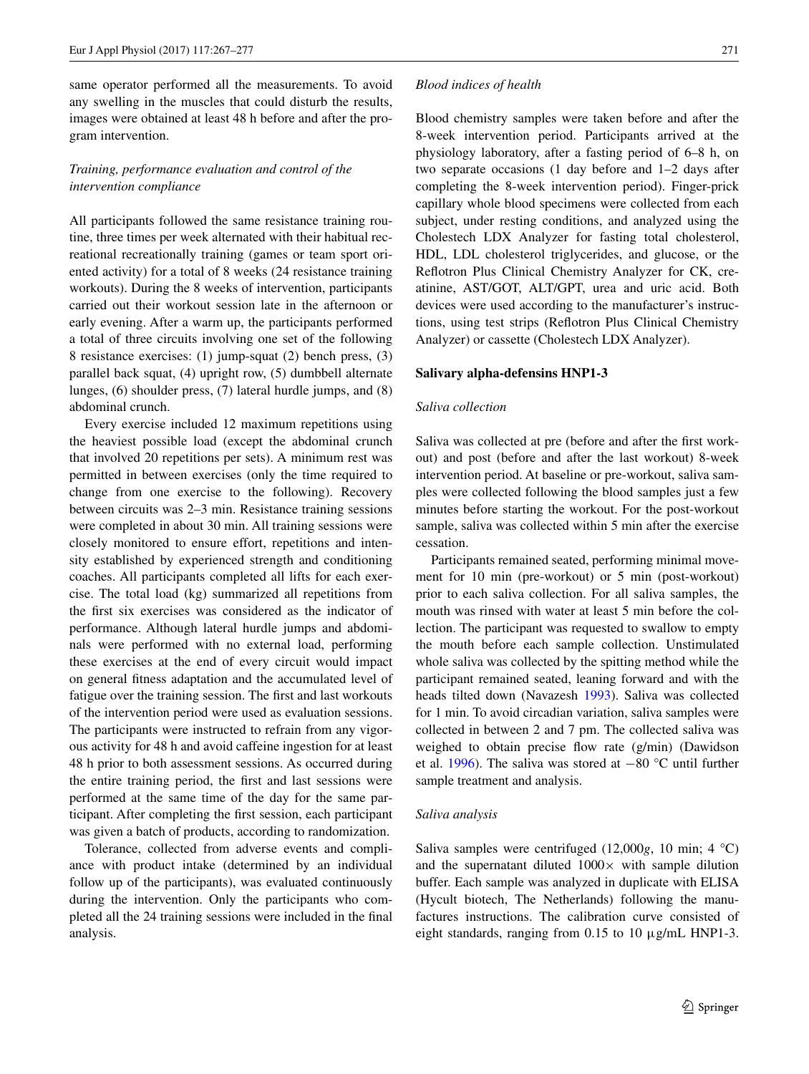same operator performed all the measurements. To avoid any swelling in the muscles that could disturb the results, images were obtained at least 48 h before and after the program intervention.

# *Training, performance evaluation and control of the intervention compliance*

All participants followed the same resistance training routine, three times per week alternated with their habitual recreational recreationally training (games or team sport oriented activity) for a total of 8 weeks (24 resistance training workouts). During the 8 weeks of intervention, participants carried out their workout session late in the afternoon or early evening. After a warm up, the participants performed a total of three circuits involving one set of the following 8 resistance exercises: (1) jump-squat (2) bench press, (3) parallel back squat, (4) upright row, (5) dumbbell alternate lunges, (6) shoulder press, (7) lateral hurdle jumps, and (8) abdominal crunch.

Every exercise included 12 maximum repetitions using the heaviest possible load (except the abdominal crunch that involved 20 repetitions per sets). A minimum rest was permitted in between exercises (only the time required to change from one exercise to the following). Recovery between circuits was 2–3 min. Resistance training sessions were completed in about 30 min. All training sessions were closely monitored to ensure effort, repetitions and intensity established by experienced strength and conditioning coaches. All participants completed all lifts for each exercise. The total load (kg) summarized all repetitions from the first six exercises was considered as the indicator of performance. Although lateral hurdle jumps and abdominals were performed with no external load, performing these exercises at the end of every circuit would impact on general fitness adaptation and the accumulated level of fatigue over the training session. The first and last workouts of the intervention period were used as evaluation sessions. The participants were instructed to refrain from any vigorous activity for 48 h and avoid caffeine ingestion for at least 48 h prior to both assessment sessions. As occurred during the entire training period, the first and last sessions were performed at the same time of the day for the same participant. After completing the first session, each participant was given a batch of products, according to randomization.

Tolerance, collected from adverse events and compliance with product intake (determined by an individual follow up of the participants), was evaluated continuously during the intervention. Only the participants who completed all the 24 training sessions were included in the final analysis.

#### *Blood indices of health*

Blood chemistry samples were taken before and after the 8-week intervention period. Participants arrived at the physiology laboratory, after a fasting period of 6–8 h, on two separate occasions (1 day before and 1–2 days after completing the 8-week intervention period). Finger-prick capillary whole blood specimens were collected from each subject, under resting conditions, and analyzed using the Cholestech LDX Analyzer for fasting total cholesterol, HDL, LDL cholesterol triglycerides, and glucose, or the Reflotron Plus Clinical Chemistry Analyzer for CK, creatinine, AST/GOT, ALT/GPT, urea and uric acid. Both devices were used according to the manufacturer's instructions, using test strips (Reflotron Plus Clinical Chemistry Analyzer) or cassette (Cholestech LDX Analyzer).

#### **Salivary alpha‑defensins HNP1‑3**

#### *Saliva collection*

Saliva was collected at pre (before and after the first workout) and post (before and after the last workout) 8-week intervention period. At baseline or pre-workout, saliva samples were collected following the blood samples just a few minutes before starting the workout. For the post-workout sample, saliva was collected within 5 min after the exercise cessation.

Participants remained seated, performing minimal movement for 10 min (pre-workout) or 5 min (post-workout) prior to each saliva collection. For all saliva samples, the mouth was rinsed with water at least 5 min before the collection. The participant was requested to swallow to empty the mouth before each sample collection. Unstimulated whole saliva was collected by the spitting method while the participant remained seated, leaning forward and with the heads tilted down (Navazesh [1993\)](#page-10-11). Saliva was collected for 1 min. To avoid circadian variation, saliva samples were collected in between 2 and 7 pm. The collected saliva was weighed to obtain precise flow rate (g/min) (Dawidson et al. [1996\)](#page-9-9). The saliva was stored at −80 °C until further sample treatment and analysis.

#### *Saliva analysis*

Saliva samples were centrifuged (12,000*g*, 10 min; 4 °C) and the supernatant diluted  $1000 \times$  with sample dilution buffer. Each sample was analyzed in duplicate with ELISA (Hycult biotech, The Netherlands) following the manufactures instructions. The calibration curve consisted of eight standards, ranging from  $0.15$  to  $10 \mu$ g/mL HNP1-3.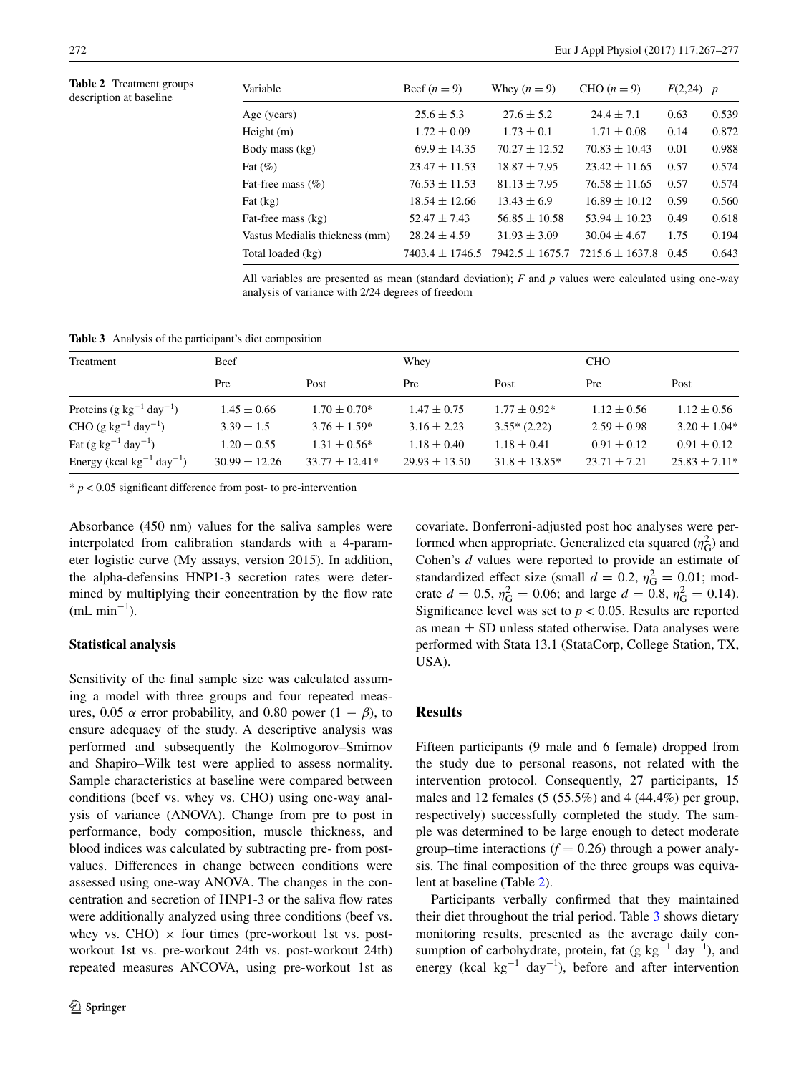<span id="page-5-0"></span>

| Table 2 Treatment groups |
|--------------------------|
| description at baseline  |

| Variable                       | Beef $(n=9)$        | Whey $(n = 9)$      | CHO $(n=9)$         | $F(2,24)$ p |       |
|--------------------------------|---------------------|---------------------|---------------------|-------------|-------|
| Age (years)                    | $25.6 \pm 5.3$      | $27.6 \pm 5.2$      | $24.4 \pm 7.1$      | 0.63        | 0.539 |
| Height (m)                     | $1.72 \pm 0.09$     | $1.73 \pm 0.1$      | $1.71 \pm 0.08$     | 0.14        | 0.872 |
| Body mass (kg)                 | $69.9 \pm 14.35$    | $70.27 \pm 12.52$   | $70.83 \pm 10.43$   | 0.01        | 0.988 |
| Fat $(\%)$                     | $23.47 \pm 11.53$   | $18.87 \pm 7.95$    | $23.42 \pm 11.65$   | 0.57        | 0.574 |
| Fat-free mass (%)              | $76.53 \pm 11.53$   | $81.13 \pm 7.95$    | $76.58 \pm 11.65$   | 0.57        | 0.574 |
| Fat (kg)                       | $18.54 \pm 12.66$   | $13.43 \pm 6.9$     | $16.89 \pm 10.12$   | 0.59        | 0.560 |
| Fat-free mass (kg)             | $52.47 \pm 7.43$    | $56.85 \pm 10.58$   | $53.94 \pm 10.23$   | 0.49        | 0.618 |
| Vastus Medialis thickness (mm) | $28.24 \pm 4.59$    | $31.93 \pm 3.09$    | $30.04 \pm 4.67$    | 1.75        | 0.194 |
| Total loaded (kg)              | $7403.4 \pm 1746.5$ | $7942.5 \pm 1675.7$ | $7215.6 \pm 1637.8$ | 0.45        | 0.643 |

All variables are presented as mean (standard deviation); *F* and *p* values were calculated using one-way analysis of variance with 2/24 degrees of freedom

<span id="page-5-1"></span>**Table 3** Analysis of the participant's diet composition

| Treatment                                   | Beef              |                   | Whey              |                    | <b>CHO</b>       |                   |
|---------------------------------------------|-------------------|-------------------|-------------------|--------------------|------------------|-------------------|
|                                             | Pre               | Post              | Pre               | Post               | Pre              | Post              |
| Proteins (g $kg^{-1}$ day <sup>-1</sup> )   | $1.45 \pm 0.66$   | $1.70 \pm 0.70^*$ | $1.47 \pm 0.75$   | $1.77 \pm 0.92^*$  | $1.12 \pm 0.56$  | $1.12 \pm 0.56$   |
| CHO (g kg <sup>-1</sup> day <sup>-1</sup> ) | $3.39 \pm 1.5$    | $3.76 \pm 1.59*$  | $3.16 \pm 2.23$   | $3.55*(2.22)$      | $2.59 \pm 0.98$  | $3.20 \pm 1.04*$  |
| Fat $(g \text{ kg}^{-1} \text{ day}^{-1})$  | $1.20 \pm 0.55$   | $1.31 \pm 0.56^*$ | $1.18 \pm 0.40$   | $1.18 \pm 0.41$    | $0.91 \pm 0.12$  | $0.91 \pm 0.12$   |
| Energy (kcal $kg^{-1}$ day <sup>-1</sup> )  | $30.99 \pm 12.26$ | $33.77 + 12.41*$  | $29.93 \pm 13.50$ | $31.8 \pm 13.85^*$ | $23.71 \pm 7.21$ | $25.83 \pm 7.11*$ |

 $* p < 0.05$  significant difference from post- to pre-intervention

Absorbance (450 nm) values for the saliva samples were interpolated from calibration standards with a 4-parameter logistic curve (My assays, version 2015). In addition, the alpha-defensins HNP1-3 secretion rates were determined by multiplying their concentration by the flow rate  $(mL min<sup>-1</sup>).$ 

## **Statistical analysis**

Sensitivity of the final sample size was calculated assuming a model with three groups and four repeated measures, 0.05  $\alpha$  error probability, and 0.80 power  $(1 - \beta)$ , to ensure adequacy of the study. A descriptive analysis was performed and subsequently the Kolmogorov–Smirnov and Shapiro–Wilk test were applied to assess normality. Sample characteristics at baseline were compared between conditions (beef vs. whey vs. CHO) using one-way analysis of variance (ANOVA). Change from pre to post in performance, body composition, muscle thickness, and blood indices was calculated by subtracting pre- from postvalues. Differences in change between conditions were assessed using one-way ANOVA. The changes in the concentration and secretion of HNP1-3 or the saliva flow rates were additionally analyzed using three conditions (beef vs. whey vs. CHO)  $\times$  four times (pre-workout 1st vs. postworkout 1st vs. pre-workout 24th vs. post-workout 24th) repeated measures ANCOVA, using pre-workout 1st as

covariate. Bonferroni-adjusted post hoc analyses were performed when appropriate. Generalized eta squared  $(\eta_G^2)$  and Cohen's *d* values were reported to provide an estimate of standardized effect size (small  $d = 0.2$ ,  $\eta_G^2 = 0.01$ ; moderate  $d = 0.5$ ,  $\eta_G^2 = 0.06$ ; and large  $d = 0.8$ ,  $\eta_G^2 = 0.14$ ). Significance level was set to *p* < 0.05. Results are reported as mean  $\pm$  SD unless stated otherwise. Data analyses were performed with Stata 13.1 (StataCorp, College Station, TX, USA).

## **Results**

Fifteen participants (9 male and 6 female) dropped from the study due to personal reasons, not related with the intervention protocol. Consequently, 27 participants, 15 males and 12 females  $(5 (55.5\%)$  and  $4 (44.4\%)$  per group, respectively) successfully completed the study. The sample was determined to be large enough to detect moderate group–time interactions  $(f = 0.26)$  through a power analysis. The final composition of the three groups was equivalent at baseline (Table [2](#page-5-0)).

Participants verbally confirmed that they maintained their diet throughout the trial period. Table [3](#page-5-1) shows dietary monitoring results, presented as the average daily consumption of carbohydrate, protein, fat (g kg<sup>-1</sup> day<sup>-1</sup>), and energy (kcal kg<sup>-1</sup> day<sup>-1</sup>), before and after intervention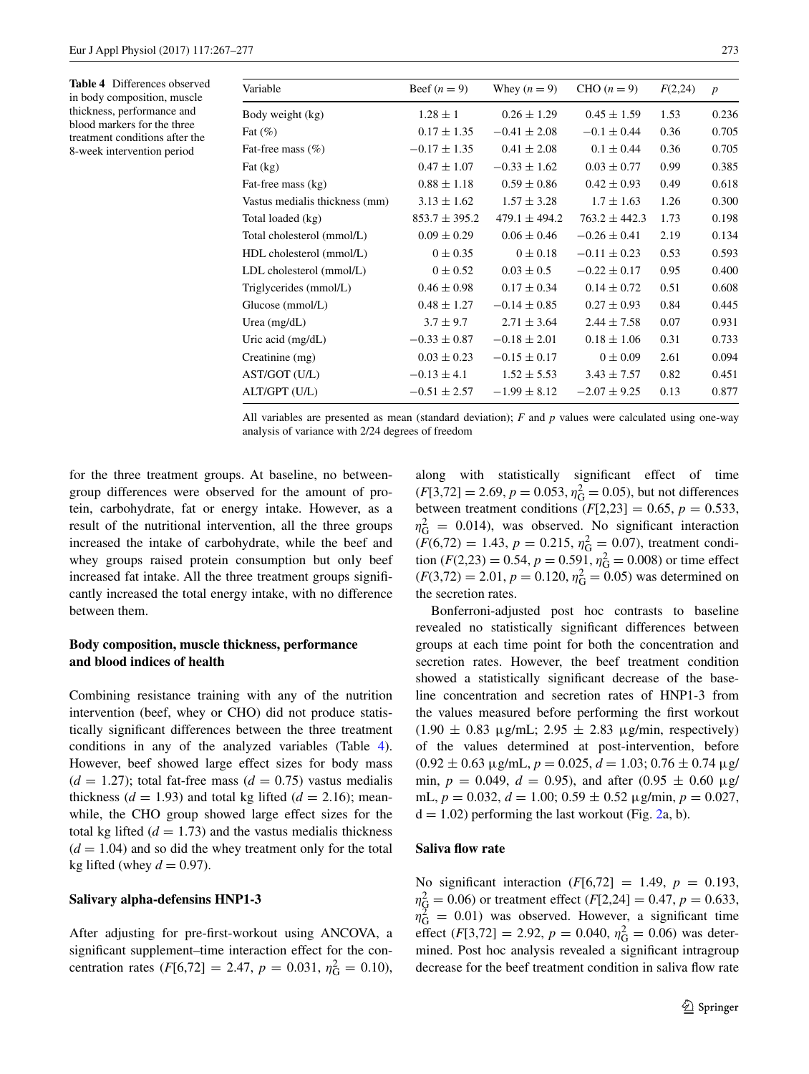<span id="page-6-0"></span>**Table 4** Differences observed in body composition, muscle thickness, performance and blood markers for the three treatment conditions after the 8-week intervention period

| Variable                       | Beef $(n=9)$      | Whey $(n = 9)$    | CHO $(n=9)$       | F(2,24) | $\boldsymbol{p}$ |
|--------------------------------|-------------------|-------------------|-------------------|---------|------------------|
| Body weight (kg)               | $1.28 \pm 1$      | $0.26 \pm 1.29$   | $0.45 \pm 1.59$   | 1.53    | 0.236            |
| Fat $(\%)$                     | $0.17 \pm 1.35$   | $-0.41 \pm 2.08$  | $-0.1 \pm 0.44$   | 0.36    | 0.705            |
| Fat-free mass $(\%)$           | $-0.17 \pm 1.35$  | $0.41 \pm 2.08$   | $0.1 \pm 0.44$    | 0.36    | 0.705            |
| Fat $(kg)$                     | $0.47 \pm 1.07$   | $-0.33 \pm 1.62$  | $0.03 \pm 0.77$   | 0.99    | 0.385            |
| Fat-free mass (kg)             | $0.88 \pm 1.18$   | $0.59 \pm 0.86$   | $0.42 \pm 0.93$   | 0.49    | 0.618            |
| Vastus medialis thickness (mm) | $3.13 \pm 1.62$   | $1.57 \pm 3.28$   | $1.7 \pm 1.63$    | 1.26    | 0.300            |
| Total loaded (kg)              | $853.7 \pm 395.2$ | $479.1 \pm 494.2$ | $763.2 \pm 442.3$ | 1.73    | 0.198            |
| Total cholesterol (mmol/L)     | $0.09 \pm 0.29$   | $0.06 \pm 0.46$   | $-0.26 \pm 0.41$  | 2.19    | 0.134            |
| HDL cholesterol (mmol/L)       | $0 \pm 0.35$      | $0 \pm 0.18$      | $-0.11 \pm 0.23$  | 0.53    | 0.593            |
| LDL cholesterol (mmol/L)       | $0 \pm 0.52$      | $0.03 \pm 0.5$    | $-0.22 \pm 0.17$  | 0.95    | 0.400            |
| Triglycerides (mmol/L)         | $0.46 \pm 0.98$   | $0.17 \pm 0.34$   | $0.14 \pm 0.72$   | 0.51    | 0.608            |
| Glucose (mmol/L)               | $0.48 \pm 1.27$   | $-0.14 \pm 0.85$  | $0.27 \pm 0.93$   | 0.84    | 0.445            |
| Urea $(mg/dL)$                 | $3.7 \pm 9.7$     | $2.71 \pm 3.64$   | $2.44 \pm 7.58$   | 0.07    | 0.931            |
| Uric acid $(mg/dL)$            | $-0.33 \pm 0.87$  | $-0.18 \pm 2.01$  | $0.18 \pm 1.06$   | 0.31    | 0.733            |
| Creatinine (mg)                | $0.03 \pm 0.23$   | $-0.15 \pm 0.17$  | $0 \pm 0.09$      | 2.61    | 0.094            |
| AST/GOT (U/L)                  | $-0.13 \pm 4.1$   | $1.52 \pm 5.53$   | $3.43 \pm 7.57$   | 0.82    | 0.451            |
| ALT/GPT (U/L)                  | $-0.51 \pm 2.57$  | $-1.99 \pm 8.12$  | $-2.07 \pm 9.25$  | 0.13    | 0.877            |

All variables are presented as mean (standard deviation); *F* and *p* values were calculated using one-way analysis of variance with 2/24 degrees of freedom

for the three treatment groups. At baseline, no betweengroup differences were observed for the amount of protein, carbohydrate, fat or energy intake. However, as a result of the nutritional intervention, all the three groups increased the intake of carbohydrate, while the beef and whey groups raised protein consumption but only beef increased fat intake. All the three treatment groups significantly increased the total energy intake, with no difference between them.

# **Body composition, muscle thickness, performance and blood indices of health**

Combining resistance training with any of the nutrition intervention (beef, whey or CHO) did not produce statistically significant differences between the three treatment conditions in any of the analyzed variables (Table [4](#page-6-0)). However, beef showed large effect sizes for body mass  $(d = 1.27)$ ; total fat-free mass  $(d = 0.75)$  vastus medialis thickness  $(d = 1.93)$  and total kg lifted  $(d = 2.16)$ ; meanwhile, the CHO group showed large effect sizes for the total kg lifted  $(d = 1.73)$  and the vastus medialis thickness  $(d = 1.04)$  and so did the whey treatment only for the total kg lifted (whey  $d = 0.97$ ).

#### **Salivary alpha‑defensins HNP1‑3**

After adjusting for pre-first-workout using ANCOVA, a significant supplement–time interaction effect for the concentration rates  $(F[6,72] = 2.47, p = 0.031, \eta_G^2 = 0.10),$  along with statistically significant effect of time  $(F[3,72] = 2.69, p = 0.053, \eta_G^2 = 0.05)$ , but not differences between treatment conditions  $(F[2,23] = 0.65, p = 0.533,$  $\eta_G^2 = 0.014$ ), was observed. No significant interaction  $(F(6,72) = 1.43, p = 0.215, \eta_G^2 = 0.07)$ , treatment condition  $(F(2,23) = 0.54, p = 0.591, \eta_G^2 = 0.008)$  or time effect  $(F(3,72) = 2.01, p = 0.120, \eta_G^2 = 0.05)$  was determined on the secretion rates.

Bonferroni-adjusted post hoc contrasts to baseline revealed no statistically significant differences between groups at each time point for both the concentration and secretion rates. However, the beef treatment condition showed a statistically significant decrease of the baseline concentration and secretion rates of HNP1-3 from the values measured before performing the first workout  $(1.90 \pm 0.83 \,\mu g/mL; 2.95 \pm 2.83 \,\mu g/min, respectively)$ of the values determined at post-intervention, before  $(0.92 \pm 0.63 \,\mu$ g/mL,  $p = 0.025$ ,  $d = 1.03$ ;  $0.76 \pm 0.74 \,\mu$ g/ min,  $p = 0.049$ ,  $d = 0.95$ ), and after  $(0.95 \pm 0.60 \text{ µg})$ mL,  $p = 0.032$ ,  $d = 1.00$ ;  $0.59 \pm 0.52$   $\mu$ g/min,  $p = 0.027$ ,  $d = 1.02$  $d = 1.02$ ) performing the last workout (Fig. 2a, b).

## **Saliva flow rate**

No significant interaction  $(F[6, 72] = 1.49, p = 0.193,$  $\eta_{\overline{Q}}^2 = 0.06$ ) or treatment effect (*F*[2,24] = 0.47, *p* = 0.633,  $\eta_{\rm G}^2$  = 0.01) was observed. However, a significant time effect (*F*[3,72] = 2.92, *p* = 0.040,  $\eta_G^2$  = 0.06) was determined. Post hoc analysis revealed a significant intragroup decrease for the beef treatment condition in saliva flow rate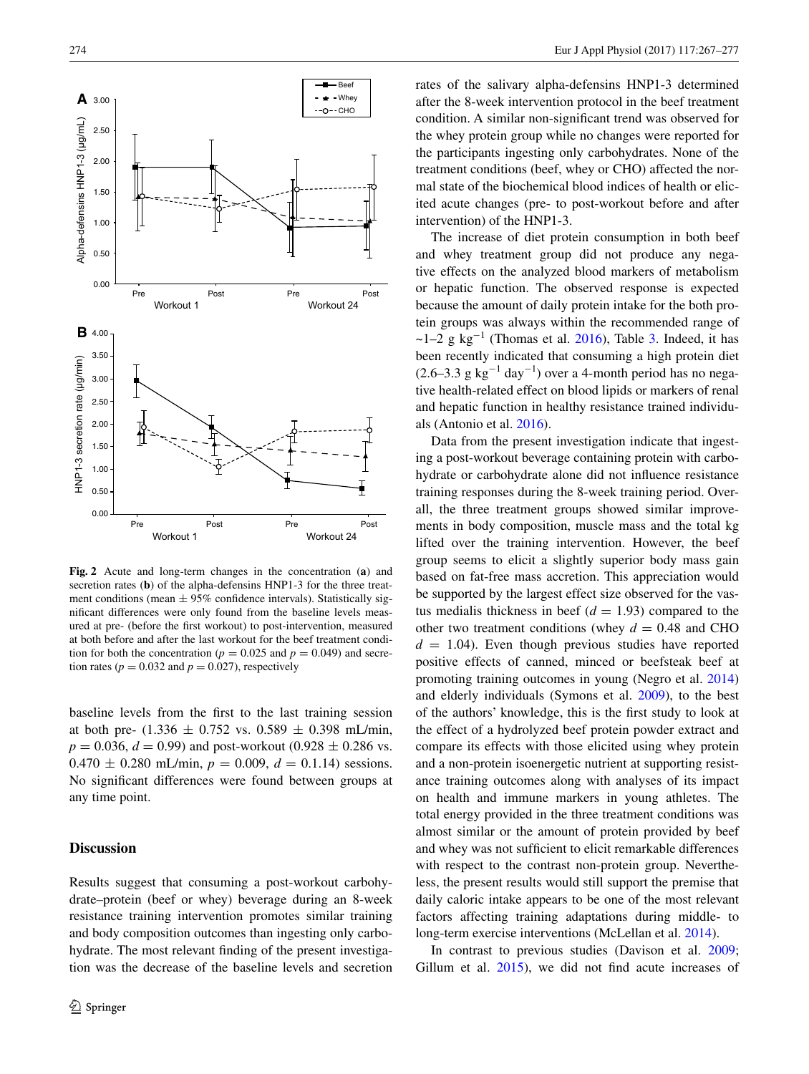

<span id="page-7-0"></span>**Fig. 2** Acute and long-term changes in the concentration (**a**) and secretion rates (**b**) of the alpha-defensins HNP1-3 for the three treatment conditions (mean  $\pm$  95% confidence intervals). Statistically significant differences were only found from the baseline levels measured at pre- (before the first workout) to post-intervention, measured at both before and after the last workout for the beef treatment condition for both the concentration ( $p = 0.025$  and  $p = 0.049$ ) and secretion rates ( $p = 0.032$  and  $p = 0.027$ ), respectively

baseline levels from the first to the last training session at both pre-  $(1.336 \pm 0.752 \text{ vs. } 0.589 \pm 0.398 \text{ mL/min},$  $p = 0.036$ ,  $d = 0.99$ ) and post-workout (0.928  $\pm$  0.286 vs.  $0.470 \pm 0.280$  mL/min,  $p = 0.009$ ,  $d = 0.1.14$ ) sessions. No significant differences were found between groups at any time point.

## **Discussion**

Results suggest that consuming a post-workout carbohydrate–protein (beef or whey) beverage during an 8-week resistance training intervention promotes similar training and body composition outcomes than ingesting only carbohydrate. The most relevant finding of the present investigation was the decrease of the baseline levels and secretion rates of the salivary alpha-defensins HNP1-3 determined after the 8-week intervention protocol in the beef treatment condition. A similar non-significant trend was observed for the whey protein group while no changes were reported for the participants ingesting only carbohydrates. None of the treatment conditions (beef, whey or CHO) affected the normal state of the biochemical blood indices of health or elicited acute changes (pre- to post-workout before and after intervention) of the HNP1-3.

The increase of diet protein consumption in both beef and whey treatment group did not produce any negative effects on the analyzed blood markers of metabolism or hepatic function. The observed response is expected because the amount of daily protein intake for the both protein groups was always within the recommended range of ~1–2 g  $kg^{-1}$  (Thomas et al. [2016](#page-10-12)), Table [3.](#page-5-1) Indeed, it has been recently indicated that consuming a high protein diet  $(2.6-3.3 \text{ g kg}^{-1} \text{ day}^{-1})$  over a 4-month period has no negative health-related effect on blood lipids or markers of renal and hepatic function in healthy resistance trained individuals (Antonio et al. [2016](#page-9-1)).

Data from the present investigation indicate that ingesting a post-workout beverage containing protein with carbohydrate or carbohydrate alone did not influence resistance training responses during the 8-week training period. Overall, the three treatment groups showed similar improvements in body composition, muscle mass and the total kg lifted over the training intervention. However, the beef group seems to elicit a slightly superior body mass gain based on fat-free mass accretion. This appreciation would be supported by the largest effect size observed for the vastus medialis thickness in beef  $(d = 1.93)$  compared to the other two treatment conditions (whey  $d = 0.48$  and CHO  $d = 1.04$ . Even though previous studies have reported positive effects of canned, minced or beefsteak beef at promoting training outcomes in young (Negro et al. [2014\)](#page-10-13) and elderly individuals (Symons et al. [2009\)](#page-10-14), to the best of the authors' knowledge, this is the first study to look at the effect of a hydrolyzed beef protein powder extract and compare its effects with those elicited using whey protein and a non-protein isoenergetic nutrient at supporting resistance training outcomes along with analyses of its impact on health and immune markers in young athletes. The total energy provided in the three treatment conditions was almost similar or the amount of protein provided by beef and whey was not sufficient to elicit remarkable differences with respect to the contrast non-protein group. Nevertheless, the present results would still support the premise that daily caloric intake appears to be one of the most relevant factors affecting training adaptations during middle- to long-term exercise interventions (McLellan et al. [2014](#page-9-10)).

In contrast to previous studies (Davison et al. [2009](#page-9-5); Gillum et al. [2015\)](#page-9-6), we did not find acute increases of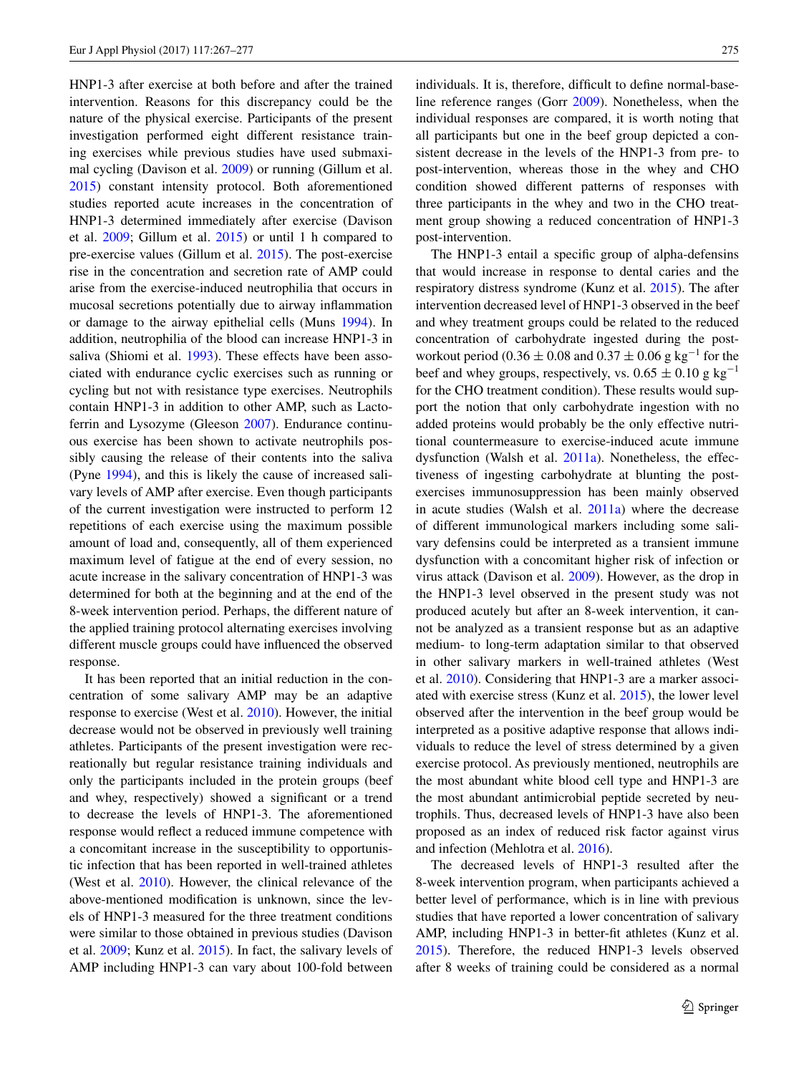HNP1-3 after exercise at both before and after the trained intervention. Reasons for this discrepancy could be the nature of the physical exercise. Participants of the present investigation performed eight different resistance training exercises while previous studies have used submaximal cycling (Davison et al. [2009](#page-9-5)) or running (Gillum et al. [2015](#page-9-6)) constant intensity protocol. Both aforementioned studies reported acute increases in the concentration of HNP1-3 determined immediately after exercise (Davison et al. [2009;](#page-9-5) Gillum et al. [2015\)](#page-9-6) or until 1 h compared to pre-exercise values (Gillum et al. [2015](#page-9-6)). The post-exercise rise in the concentration and secretion rate of AMP could arise from the exercise-induced neutrophilia that occurs in mucosal secretions potentially due to airway inflammation or damage to the airway epithelial cells (Muns [1994\)](#page-10-15). In addition, neutrophilia of the blood can increase HNP1-3 in saliva (Shiomi et al. [1993](#page-10-16)). These effects have been associated with endurance cyclic exercises such as running or cycling but not with resistance type exercises. Neutrophils contain HNP1-3 in addition to other AMP, such as Lactoferrin and Lysozyme (Gleeson [2007\)](#page-9-11). Endurance continuous exercise has been shown to activate neutrophils possibly causing the release of their contents into the saliva (Pyne [1994\)](#page-10-17), and this is likely the cause of increased salivary levels of AMP after exercise. Even though participants of the current investigation were instructed to perform 12 repetitions of each exercise using the maximum possible amount of load and, consequently, all of them experienced maximum level of fatigue at the end of every session, no acute increase in the salivary concentration of HNP1-3 was determined for both at the beginning and at the end of the 8-week intervention period. Perhaps, the different nature of the applied training protocol alternating exercises involving different muscle groups could have influenced the observed response.

It has been reported that an initial reduction in the concentration of some salivary AMP may be an adaptive response to exercise (West et al. [2010\)](#page-10-18). However, the initial decrease would not be observed in previously well training athletes. Participants of the present investigation were recreationally but regular resistance training individuals and only the participants included in the protein groups (beef and whey, respectively) showed a significant or a trend to decrease the levels of HNP1-3. The aforementioned response would reflect a reduced immune competence with a concomitant increase in the susceptibility to opportunistic infection that has been reported in well-trained athletes (West et al. [2010](#page-10-18)). However, the clinical relevance of the above-mentioned modification is unknown, since the levels of HNP1-3 measured for the three treatment conditions were similar to those obtained in previous studies (Davison et al. [2009;](#page-9-5) Kunz et al. [2015](#page-9-12)). In fact, the salivary levels of AMP including HNP1-3 can vary about 100-fold between individuals. It is, therefore, difficult to define normal-baseline reference ranges (Gorr [2009\)](#page-9-13). Nonetheless, when the individual responses are compared, it is worth noting that all participants but one in the beef group depicted a consistent decrease in the levels of the HNP1-3 from pre- to post-intervention, whereas those in the whey and CHO condition showed different patterns of responses with three participants in the whey and two in the CHO treatment group showing a reduced concentration of HNP1-3 post-intervention.

The HNP1-3 entail a specific group of alpha-defensins that would increase in response to dental caries and the respiratory distress syndrome (Kunz et al. [2015\)](#page-9-12). The after intervention decreased level of HNP1-3 observed in the beef and whey treatment groups could be related to the reduced concentration of carbohydrate ingested during the postworkout period (0.36 ± 0.08 and 0.37 ± 0.06 g kg<sup>-1</sup> for the beef and whey groups, respectively, vs.  $0.65 \pm 0.10$  g kg<sup>-1</sup> for the CHO treatment condition). These results would support the notion that only carbohydrate ingestion with no added proteins would probably be the only effective nutritional countermeasure to exercise-induced acute immune dysfunction (Walsh et al. [2011a](#page-10-19)). Nonetheless, the effectiveness of ingesting carbohydrate at blunting the postexercises immunosuppression has been mainly observed in acute studies (Walsh et al. [2011a](#page-10-19)) where the decrease of different immunological markers including some salivary defensins could be interpreted as a transient immune dysfunction with a concomitant higher risk of infection or virus attack (Davison et al. [2009\)](#page-9-5). However, as the drop in the HNP1-3 level observed in the present study was not produced acutely but after an 8-week intervention, it cannot be analyzed as a transient response but as an adaptive medium- to long-term adaptation similar to that observed in other salivary markers in well-trained athletes (West et al. [2010\)](#page-10-18). Considering that HNP1-3 are a marker associated with exercise stress (Kunz et al. [2015](#page-9-12)), the lower level observed after the intervention in the beef group would be interpreted as a positive adaptive response that allows individuals to reduce the level of stress determined by a given exercise protocol. As previously mentioned, neutrophils are the most abundant white blood cell type and HNP1-3 are the most abundant antimicrobial peptide secreted by neutrophils. Thus, decreased levels of HNP1-3 have also been proposed as an index of reduced risk factor against virus and infection (Mehlotra et al. [2016\)](#page-9-14).

The decreased levels of HNP1-3 resulted after the 8-week intervention program, when participants achieved a better level of performance, which is in line with previous studies that have reported a lower concentration of salivary AMP, including HNP1-3 in better-fit athletes (Kunz et al. [2015](#page-9-12)). Therefore, the reduced HNP1-3 levels observed after 8 weeks of training could be considered as a normal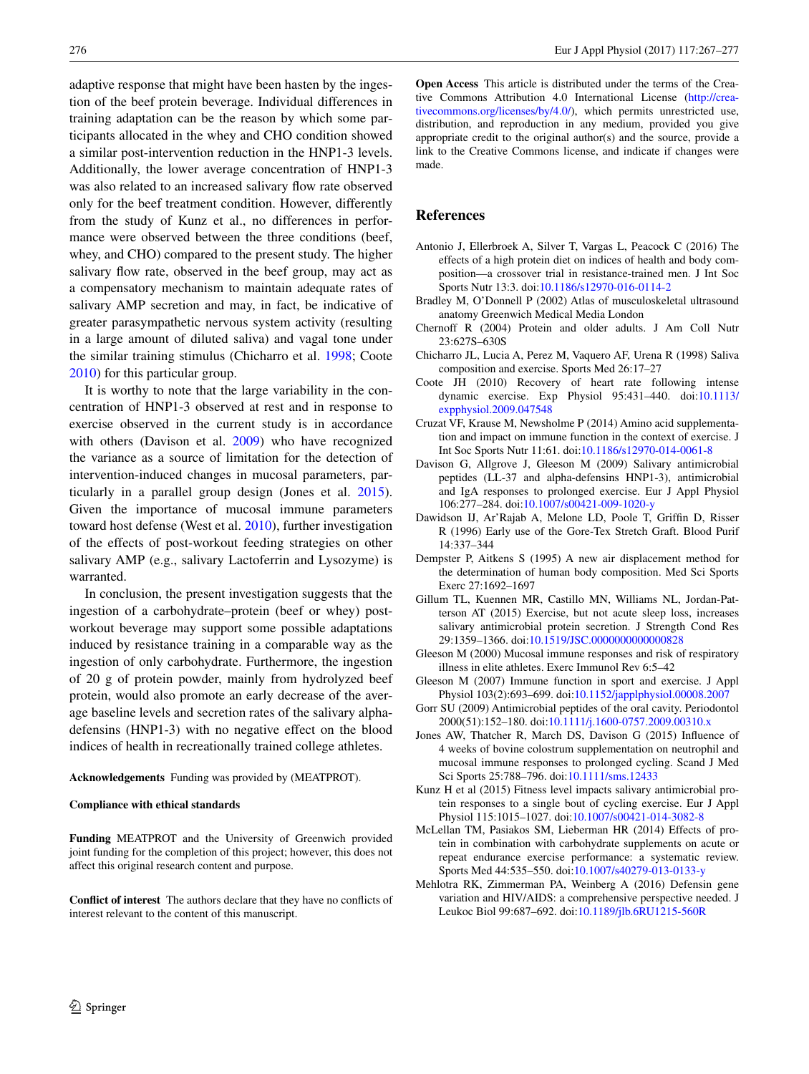adaptive response that might have been hasten by the ingestion of the beef protein beverage. Individual differences in training adaptation can be the reason by which some participants allocated in the whey and CHO condition showed a similar post-intervention reduction in the HNP1-3 levels. Additionally, the lower average concentration of HNP1-3 was also related to an increased salivary flow rate observed only for the beef treatment condition. However, differently from the study of Kunz et al., no differences in performance were observed between the three conditions (beef, whey, and CHO) compared to the present study. The higher salivary flow rate, observed in the beef group, may act as a compensatory mechanism to maintain adequate rates of salivary AMP secretion and may, in fact, be indicative of greater parasympathetic nervous system activity (resulting in a large amount of diluted saliva) and vagal tone under the similar training stimulus (Chicharro et al. [1998](#page-9-15); Coote [2010](#page-9-16)) for this particular group.

It is worthy to note that the large variability in the concentration of HNP1-3 observed at rest and in response to exercise observed in the current study is in accordance with others (Davison et al. [2009](#page-9-5)) who have recognized the variance as a source of limitation for the detection of intervention-induced changes in mucosal parameters, particularly in a parallel group design (Jones et al. [2015](#page-9-0)). Given the importance of mucosal immune parameters toward host defense (West et al. [2010](#page-10-18)), further investigation of the effects of post-workout feeding strategies on other salivary AMP (e.g., salivary Lactoferrin and Lysozyme) is warranted.

In conclusion, the present investigation suggests that the ingestion of a carbohydrate–protein (beef or whey) postworkout beverage may support some possible adaptations induced by resistance training in a comparable way as the ingestion of only carbohydrate. Furthermore, the ingestion of 20 g of protein powder, mainly from hydrolyzed beef protein, would also promote an early decrease of the average baseline levels and secretion rates of the salivary alphadefensins (HNP1-3) with no negative effect on the blood indices of health in recreationally trained college athletes.

**Acknowledgements** Funding was provided by (MEATPROT).

#### **Compliance with ethical standards**

**Funding** MEATPROT and the University of Greenwich provided joint funding for the completion of this project; however, this does not affect this original research content and purpose.

**Conflict of interest** The authors declare that they have no conflicts of interest relevant to the content of this manuscript.

**Open Access** This article is distributed under the terms of the Creative Commons Attribution 4.0 International License ([http://crea](http://creativecommons.org/licenses/by/4.0/)[tivecommons.org/licenses/by/4.0/](http://creativecommons.org/licenses/by/4.0/)), which permits unrestricted use, distribution, and reproduction in any medium, provided you give appropriate credit to the original author(s) and the source, provide a link to the Creative Commons license, and indicate if changes were made.

# **References**

- <span id="page-9-1"></span>Antonio J, Ellerbroek A, Silver T, Vargas L, Peacock C (2016) The effects of a high protein diet on indices of health and body composition—a crossover trial in resistance-trained men. J Int Soc Sports Nutr 13:3. doi[:10.1186/s12970-016-0114-2](http://dx.doi.org/10.1186/s12970-016-0114-2)
- <span id="page-9-8"></span>Bradley M, O'Donnell P (2002) Atlas of musculoskeletal ultrasound anatomy Greenwich Medical Media London
- <span id="page-9-2"></span>Chernoff R (2004) Protein and older adults. J Am Coll Nutr 23:627S–630S
- <span id="page-9-15"></span>Chicharro JL, Lucia A, Perez M, Vaquero AF, Urena R (1998) Saliva composition and exercise. Sports Med 26:17–27
- <span id="page-9-16"></span>Coote JH (2010) Recovery of heart rate following intense dynamic exercise. Exp Physiol 95:431–440. doi[:10.1113/](http://dx.doi.org/10.1113/expphysiol.2009.047548) [expphysiol.2009.047548](http://dx.doi.org/10.1113/expphysiol.2009.047548)
- <span id="page-9-3"></span>Cruzat VF, Krause M, Newsholme P (2014) Amino acid supplementation and impact on immune function in the context of exercise. J Int Soc Sports Nutr 11:61. doi:[10.1186/s12970-014-0061-8](http://dx.doi.org/10.1186/s12970-014-0061-8)
- <span id="page-9-5"></span>Davison G, Allgrove J, Gleeson M (2009) Salivary antimicrobial peptides (LL-37 and alpha-defensins HNP1-3), antimicrobial and IgA responses to prolonged exercise. Eur J Appl Physiol 106:277–284. doi[:10.1007/s00421-009-1020-y](http://dx.doi.org/10.1007/s00421-009-1020-y)
- <span id="page-9-9"></span>Dawidson IJ, Ar'Rajab A, Melone LD, Poole T, Griffin D, Risser R (1996) Early use of the Gore-Tex Stretch Graft. Blood Purif 14:337–344
- <span id="page-9-7"></span>Dempster P, Aitkens S (1995) A new air displacement method for the determination of human body composition. Med Sci Sports Exerc 27:1692–1697
- <span id="page-9-6"></span>Gillum TL, Kuennen MR, Castillo MN, Williams NL, Jordan-Patterson AT (2015) Exercise, but not acute sleep loss, increases salivary antimicrobial protein secretion. J Strength Cond Res 29:1359–1366. doi:[10.1519/JSC.0000000000000828](http://dx.doi.org/10.1519/JSC.0000000000000828)
- <span id="page-9-4"></span>Gleeson M (2000) Mucosal immune responses and risk of respiratory illness in elite athletes. Exerc Immunol Rev 6:5–42
- <span id="page-9-11"></span>Gleeson M (2007) Immune function in sport and exercise. J Appl Physiol 103(2):693–699. doi:[10.1152/japplphysiol.00008.2007](http://dx.doi.org/10.1152/japplphysiol.00008.2007)
- <span id="page-9-13"></span>Gorr SU (2009) Antimicrobial peptides of the oral cavity. Periodontol 2000(51):152–180. doi:[10.1111/j.1600-0757.2009.00310.x](http://dx.doi.org/10.1111/j.1600-0757.2009.00310.x)
- <span id="page-9-0"></span>Jones AW, Thatcher R, March DS, Davison G (2015) Influence of 4 weeks of bovine colostrum supplementation on neutrophil and mucosal immune responses to prolonged cycling. Scand J Med Sci Sports 25:788–796. doi[:10.1111/sms.12433](http://dx.doi.org/10.1111/sms.12433)
- <span id="page-9-12"></span>Kunz H et al (2015) Fitness level impacts salivary antimicrobial protein responses to a single bout of cycling exercise. Eur J Appl Physiol 115:1015–1027. doi:[10.1007/s00421-014-3082-8](http://dx.doi.org/10.1007/s00421-014-3082-8)
- <span id="page-9-10"></span>McLellan TM, Pasiakos SM, Lieberman HR (2014) Effects of protein in combination with carbohydrate supplements on acute or repeat endurance exercise performance: a systematic review. Sports Med 44:535–550. doi:[10.1007/s40279-013-0133-y](http://dx.doi.org/10.1007/s40279-013-0133-y)
- <span id="page-9-14"></span>Mehlotra RK, Zimmerman PA, Weinberg A (2016) Defensin gene variation and HIV/AIDS: a comprehensive perspective needed. J Leukoc Biol 99:687–692. doi:[10.1189/jlb.6RU1215-560R](http://dx.doi.org/10.1189/jlb.6RU1215-560R)